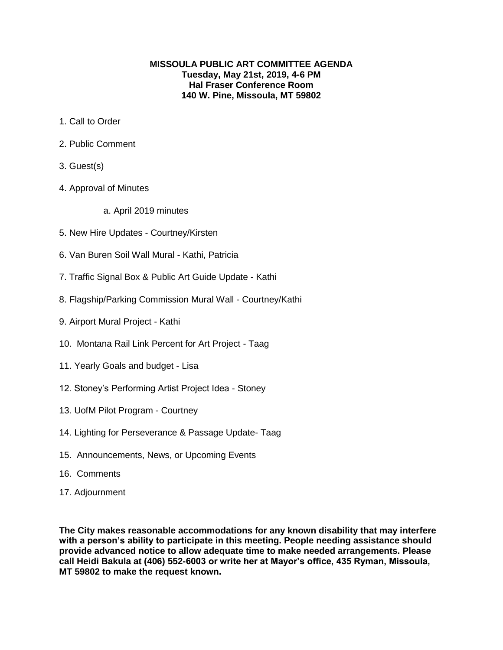## **MISSOULA PUBLIC ART COMMITTEE AGENDA Tuesday, May 21st, 2019, 4-6 PM Hal Fraser Conference Room 140 W. Pine, Missoula, MT 59802**

- 1. Call to Order
- 2. Public Comment
- 3. Guest(s)
- 4. Approval of Minutes
	- a. April 2019 minutes
- 5. New Hire Updates Courtney/Kirsten
- 6. Van Buren Soil Wall Mural Kathi, Patricia
- 7. Traffic Signal Box & Public Art Guide Update Kathi
- 8. Flagship/Parking Commission Mural Wall Courtney/Kathi
- 9. Airport Mural Project Kathi
- 10. Montana Rail Link Percent for Art Project Taag
- 11. Yearly Goals and budget Lisa
- 12. Stoney's Performing Artist Project Idea Stoney
- 13. UofM Pilot Program Courtney
- 14. Lighting for Perseverance & Passage Update- Taag
- 15. Announcements, News, or Upcoming Events
- 16. Comments
- 17. Adjournment

**The City makes reasonable accommodations for any known disability that may interfere with a person's ability to participate in this meeting. People needing assistance should provide advanced notice to allow adequate time to make needed arrangements. Please call Heidi Bakula at (406) 552-6003 or write her at Mayor's office, 435 Ryman, Missoula, MT 59802 to make the request known.**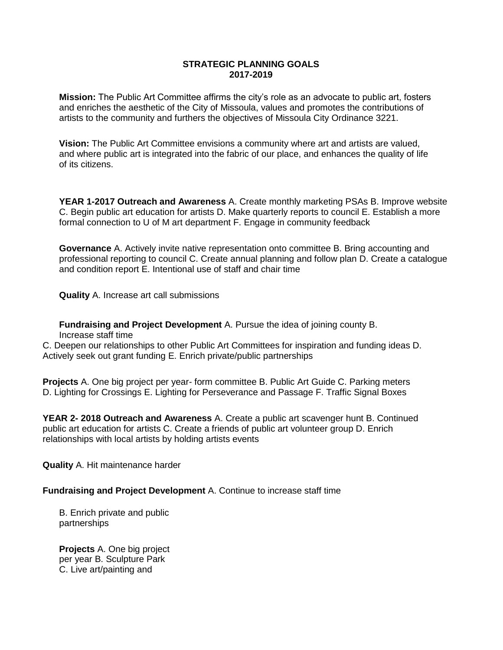## **STRATEGIC PLANNING GOALS 2017-2019**

**Mission:** The Public Art Committee affirms the city's role as an advocate to public art, fosters and enriches the aesthetic of the City of Missoula, values and promotes the contributions of artists to the community and furthers the objectives of Missoula City Ordinance 3221.

**Vision:** The Public Art Committee envisions a community where art and artists are valued, and where public art is integrated into the fabric of our place, and enhances the quality of life of its citizens.

**YEAR 1-2017 Outreach and Awareness** A. Create monthly marketing PSAs B. Improve website C. Begin public art education for artists D. Make quarterly reports to council E. Establish a more formal connection to U of M art department F. Engage in community feedback

**Governance** A. Actively invite native representation onto committee B. Bring accounting and professional reporting to council C. Create annual planning and follow plan D. Create a catalogue and condition report E. Intentional use of staff and chair time

**Quality** A. Increase art call submissions

**Fundraising and Project Development** A. Pursue the idea of joining county B. Increase staff time

C. Deepen our relationships to other Public Art Committees for inspiration and funding ideas D. Actively seek out grant funding E. Enrich private/public partnerships

**Projects** A. One big project per year- form committee B. Public Art Guide C. Parking meters D. Lighting for Crossings E. Lighting for Perseverance and Passage F. Traffic Signal Boxes

**YEAR 2- 2018 Outreach and Awareness** A. Create a public art scavenger hunt B. Continued public art education for artists C. Create a friends of public art volunteer group D. Enrich relationships with local artists by holding artists events

**Quality** A. Hit maintenance harder

**Fundraising and Project Development** A. Continue to increase staff time

B. Enrich private and public partnerships

**Projects** A. One big project per year B. Sculpture Park C. Live art/painting and